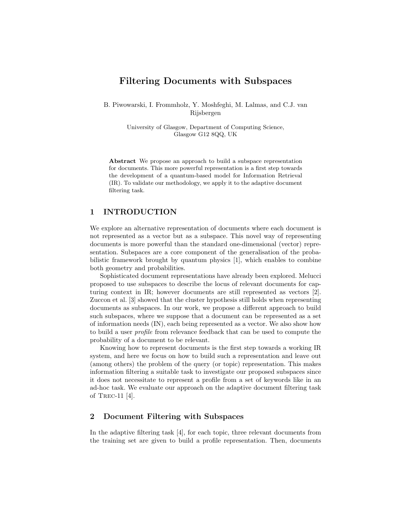# Filtering Documents with Subspaces

B. Piwowarski, I. Frommholz, Y. Moshfeghi, M. Lalmas, and C.J. van Rijsbergen

> University of Glasgow, Department of Computing Science, Glasgow G12 8QQ, UK

Abstract We propose an approach to build a subspace representation for documents. This more powerful representation is a first step towards the development of a quantum-based model for Information Retrieval (IR). To validate our methodology, we apply it to the adaptive document filtering task.

## 1 INTRODUCTION

We explore an alternative representation of documents where each document is not represented as a vector but as a subspace. This novel way of representing documents is more powerful than the standard one-dimensional (vector) representation. Subspaces are a core component of the generalisation of the probabilistic framework brought by quantum physics [1], which enables to combine both geometry and probabilities.

Sophisticated document representations have already been explored. Melucci proposed to use subspaces to describe the locus of relevant documents for capturing context in IR; however documents are still represented as vectors [2]. Zuccon et al. [3] showed that the cluster hypothesis still holds when representing documents as subspaces. In our work, we propose a different approach to build such subspaces, where we suppose that a document can be represented as a set of information needs (IN), each being represented as a vector. We also show how to build a user *profile* from relevance feedback that can be used to compute the probability of a document to be relevant.

Knowing how to represent documents is the first step towards a working IR system, and here we focus on how to build such a representation and leave out (among others) the problem of the query (or topic) representation. This makes information filtering a suitable task to investigate our proposed subspaces since it does not necessitate to represent a profile from a set of keywords like in an ad-hoc task. We evaluate our approach on the adaptive document filtering task of TREC-11  $[4]$ .

# 2 Document Filtering with Subspaces

In the adaptive filtering task [4], for each topic, three relevant documents from the training set are given to build a profile representation. Then, documents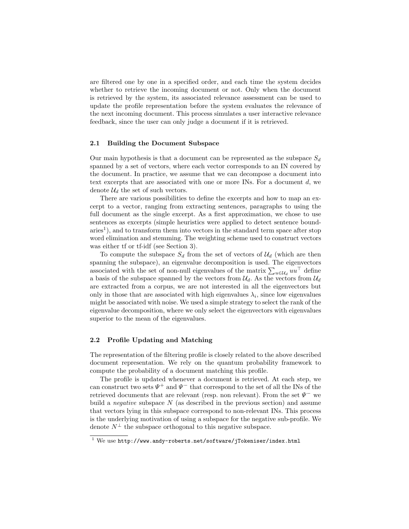are filtered one by one in a specified order, and each time the system decides whether to retrieve the incoming document or not. Only when the document is retrieved by the system, its associated relevance assessment can be used to update the profile representation before the system evaluates the relevance of the next incoming document. This process simulates a user interactive relevance feedback, since the user can only judge a document if it is retrieved.

#### 2.1 Building the Document Subspace

Our main hypothesis is that a document can be represented as the subspace  $S_d$ spanned by a set of vectors, where each vector corresponds to an IN covered by the document. In practice, we assume that we can decompose a document into text excerpts that are associated with one or more INs. For a document d, we denote  $\mathcal{U}_d$  the set of such vectors.

There are various possibilities to define the excerpts and how to map an excerpt to a vector, ranging from extracting sentences, paragraphs to using the full document as the single excerpt. As a first approximation, we chose to use sentences as excerpts (simple heuristics were applied to detect sentence bound $aries<sup>1</sup>$ ), and to transform them into vectors in the standard term space after stop word elimination and stemming. The weighting scheme used to construct vectors was either tf or tf-idf (see Section 3).

To compute the subspace  $S_d$  from the set of vectors of  $\mathcal{U}_d$  (which are then spanning the subspace), an eigenvalue decomposition is used. The eigenvectors associated with the set of non-null eigenvalues of the matrix  $\sum_{u \in \mathcal{U}_d} uu^\top$  define a basis of the subspace spanned by the vectors from  $\mathcal{U}_d$ . As the vectors from  $\mathcal{U}_d$ are extracted from a corpus, we are not interested in all the eigenvectors but only in those that are associated with high eigenvalues  $\lambda_i$ , since low eigenvalues might be associated with noise. We used a simple strategy to select the rank of the eigenvalue decomposition, where we only select the eigenvectors with eigenvalues superior to the mean of the eigenvalues.

#### 2.2 Profile Updating and Matching

The representation of the filtering profile is closely related to the above described document representation. We rely on the quantum probability framework to compute the probability of a document matching this profile.

The profile is updated whenever a document is retrieved. At each step, we can construct two sets  $\Psi^+$  and  $\Psi^-$  that correspond to the set of all the INs of the retrieved documents that are relevant (resp. non relevant). From the set  $\Psi^-$  we build a *negative* subspace N (as described in the previous section) and assume that vectors lying in this subspace correspond to non-relevant INs. This process is the underlying motivation of using a subspace for the negative sub-profile. We denote  $N^{\perp}$  the subspace orthogonal to this negative subspace.

 $1$  We use http://www.andy-roberts.net/software/jTokeniser/index.html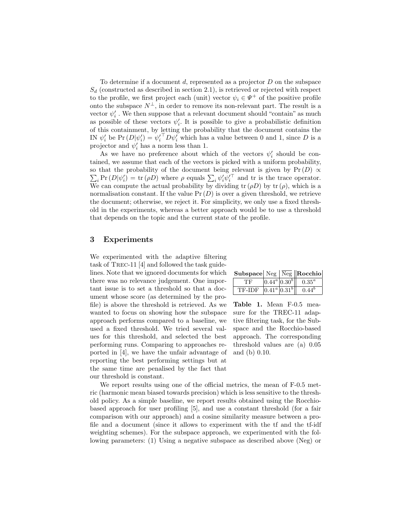To determine if a document  $d$ , represented as a projector  $D$  on the subspace  $S_d$  (constructed as described in section 2.1), is retrieved or rejected with respect to the profile, we first project each (unit) vector  $\psi_i \in \Psi^+$  of the positive profile onto the subspace  $N^{\perp}$ , in order to remove its non-relevant part. The result is a vector  $\psi'_i$ . We then suppose that a relevant document should "contain" as much as possible of these vectors  $\psi'_i$ . It is possible to give a probabilistic definition of this containment, by letting the probability that the document contains the IN  $\psi'_i$  be Pr  $(D|\psi'_i) = \psi'_i \ D\psi'_i$  which has a value between 0 and 1, since D is a projector and  $\psi'_i$  has a norm less than 1.

As we have no preference about which of the vectors  $\psi'_i$  should be contained, we assume that each of the vectors is picked with a uniform probability, so that the probability of the document being relevant is given by  $Pr(D) \propto$  $\sum_i \Pr(D|\psi_i') = \text{tr}(\rho D)$  where  $\rho$  equals  $\sum_i \psi_i' \psi_i'^\top$  and tr is the trace operator. We can compute the actual probability by dividing tr  $(\rho D)$  by tr  $(\rho)$ , which is a normalisation constant. If the value  $Pr(D)$  is over a given threshold, we retrieve the document; otherwise, we reject it. For simplicity, we only use a fixed threshold in the experiments, whereas a better approach would be to use a threshold that depends on the topic and the current state of the profile.

## 3 Experiments

We experimented with the adaptive filtering task of Trec-11 [4] and followed the task guidelines. Note that we ignored documents for which there was no relevance judgement. One important issue is to set a threshold so that a document whose score (as determined by the profile) is above the threshold is retrieved. As we wanted to focus on showing how the subspace approach performs compared to a baseline, we used a fixed threshold. We tried several values for this threshold, and selected the best performing runs. Comparing to approaches reported in [4], we have the unfair advantage of reporting the best performing settings but at the same time are penalised by the fact that our threshold is constant.

| Subspace $\log  \overline{\text{Neg}} $ Rocchio |                              |                   |
|-------------------------------------------------|------------------------------|-------------------|
| ' L' H'                                         | $ 0.44^a 0.30^b $            | $0.35^a$          |
| TF-IDF                                          | $\sqrt{0.41^a \cdot 0.31^b}$ | 0.44 <sup>b</sup> |

Table 1. Mean F-0.5 measure for the TREC-11 adaptive filtering task, for the Subspace and the Rocchio-based approach. The corresponding threshold values are (a) 0.05 and (b) 0.10.

We report results using one of the official metrics, the mean of F-0.5 metric (harmonic mean biased towards precision) which is less sensitive to the threshold policy. As a simple baseline, we report results obtained using the Rocchiobased approach for user profiling [5], and use a constant threshold (for a fair comparison with our approach) and a cosine similarity measure between a profile and a document (since it allows to experiment with the tf and the tf-idf weighting schemes). For the subspace approach, we experimented with the following parameters: (1) Using a negative subspace as described above (Neg) or